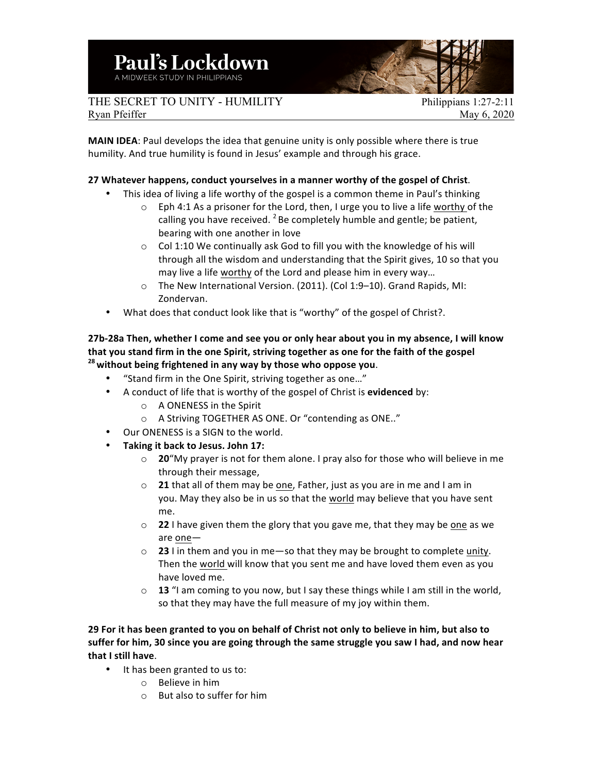THE SECRET TO UNITY - HUMILITY Philippians 1:27-2:11 Ryan Pfeiffer May 6, 2020

**MAIN IDEA:** Paul develops the idea that genuine unity is only possible where there is true humility. And true humility is found in Jesus' example and through his grace.

## **27** Whatever happens, conduct yourselves in a manner worthy of the gospel of Christ.

- This idea of living a life worthy of the gospel is a common theme in Paul's thinking
	- $\circ$  Eph 4:1 As a prisoner for the Lord, then, I urge you to live a life worthy of the calling you have received.  $2$  Be completely humble and gentle; be patient, bearing with one another in love
	- $\circ$  Col 1:10 We continually ask God to fill you with the knowledge of his will through all the wisdom and understanding that the Spirit gives, 10 so that you may live a life worthy of the Lord and please him in every way...
	- o The New International Version. (2011). (Col 1:9-10). Grand Rapids, MI: Zondervan.
- What does that conduct look like that is "worthy" of the gospel of Christ?.

## 27b-28a Then, whether I come and see you or only hear about you in my absence, I will know that you stand firm in the one Spirit, striving together as one for the faith of the gospel <sup>28</sup> without being frightened in any way by those who oppose you.

- "Stand firm in the One Spirit, striving together as one..."
- A conduct of life that is worthy of the gospel of Christ is evidenced by:
	- $\circ$  A ONENESS in the Spirit
	- o A Striving TOGETHER AS ONE. Or "contending as ONE.."
- Our ONENESS is a SIGN to the world.
- **Taking it back to Jesus. John 17:**
	- $\circ$  **20**"My prayer is not for them alone. I pray also for those who will believe in me through their message,
	- o **21** that all of them may be one, Father, just as you are in me and I am in you. May they also be in us so that the world may believe that you have sent me.
	- o **22** I have given them the glory that you gave me, that they may be one as we are one-
	- $\circ$  **23** I in them and you in me—so that they may be brought to complete unity. Then the world will know that you sent me and have loved them even as you have loved me.
	- o **13** "I am coming to you now, but I say these things while I am still in the world, so that they may have the full measure of my joy within them.

29 For it has been granted to you on behalf of Christ not only to believe in him, but also to suffer for him, 30 since you are going through the same struggle you saw I had, and now hear **that I still have**. 

- It has been granted to us to:
	- $\circ$  Believe in him
	- $\circ$  But also to suffer for him